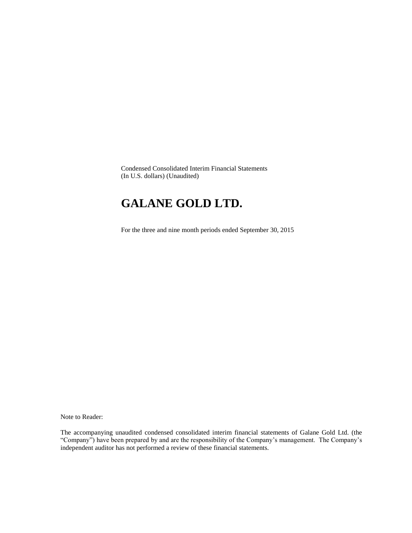Condensed Consolidated Interim Financial Statements (In U.S. dollars) (Unaudited)

# **GALANE GOLD LTD.**

For the three and nine month periods ended September 30, 2015

Note to Reader:

The accompanying unaudited condensed consolidated interim financial statements of Galane Gold Ltd. (the "Company") have been prepared by and are the responsibility of the Company's management. The Company's independent auditor has not performed a review of these financial statements.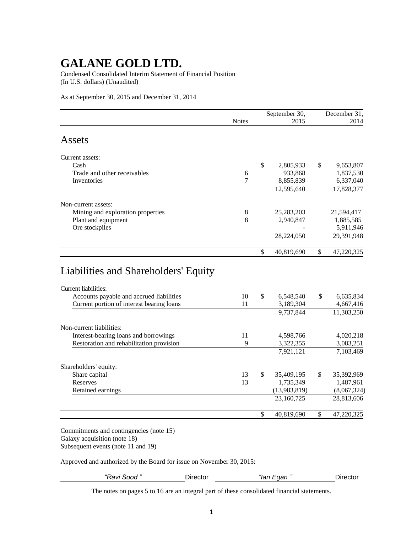Condensed Consolidated Interim Statement of Financial Position (In U.S. dollars) (Unaudited)

As at September 30, 2015 and December 31, 2014

| 2015<br>2,805,933<br>933,868<br>8,855,839<br>12,595,640 | \$           | 2014<br>9,653,807<br>1,837,530<br>6,337,040<br>17,828,377 |
|---------------------------------------------------------|--------------|-----------------------------------------------------------|
|                                                         |              |                                                           |
|                                                         |              |                                                           |
|                                                         |              |                                                           |
|                                                         |              |                                                           |
|                                                         |              |                                                           |
|                                                         |              |                                                           |
|                                                         |              |                                                           |
|                                                         |              |                                                           |
| 25, 283, 203                                            |              | 21,594,417                                                |
| 2,940,847                                               |              | 1,885,585                                                 |
|                                                         |              | 5,911,946                                                 |
| 28,224,050                                              |              | 29,391,948                                                |
| 40,819,690                                              | $\mathbb{S}$ | 47,220,325                                                |
|                                                         |              |                                                           |

| 10 | $\mathbb{S}$ | 6,548,540    | \$            | 6,635,834   |
|----|--------------|--------------|---------------|-------------|
| 11 |              | 3,189,304    |               | 4,667,416   |
|    |              | 9,737,844    |               | 11,303,250  |
|    |              |              |               |             |
| 11 |              | 4,598,766    |               | 4,020,218   |
| 9  |              | 3,322,355    |               | 3,083,251   |
|    |              | 7,921,121    |               | 7,103,469   |
|    |              |              |               |             |
| 13 | \$.          | 35,409,195   | <sup>\$</sup> | 35,392,969  |
| 13 |              | 1,735,349    |               | 1,487,961   |
|    |              | (13,983,819) |               | (8,067,324) |
|    |              | 23,160,725   |               | 28,813,606  |
|    | \$           | 40,819,690   | \$            | 47,220,325  |
|    |              |              |               |             |

Commitments and contingencies (note 15) Galaxy acquisition (note 18) Subsequent events (note 11 and 19)

Approved and authorized by the Board for issue on November 30, 2015:

| "Ravi Sood" | Jirector | $"$ lan<br>∟qan " | ⊃irector |
|-------------|----------|-------------------|----------|
|             |          |                   |          |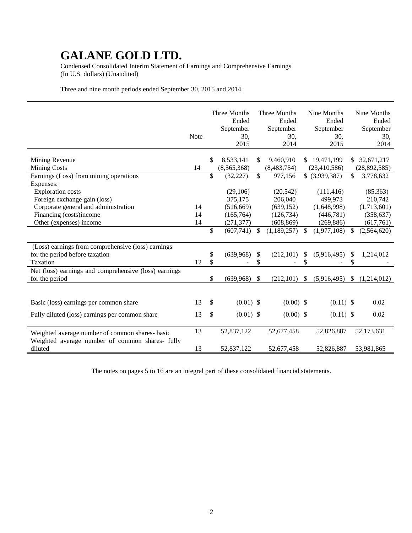Condensed Consolidated Interim Statement of Earnings and Comprehensive Earnings (In U.S. dollars) (Unaudited)

Three and nine month periods ended September 30, 2015 and 2014.

|                                                                                                    | <b>Note</b> |              | Three Months<br>Ended<br>September<br>30,<br>2015 |              | Three Months<br>Ended<br>September<br>30,<br>2014 |                     | Nine Months<br>Ended<br>September<br>30,<br>2015 |               | Nine Months<br>Ended<br>September<br>30,<br>2014 |
|----------------------------------------------------------------------------------------------------|-------------|--------------|---------------------------------------------------|--------------|---------------------------------------------------|---------------------|--------------------------------------------------|---------------|--------------------------------------------------|
| Mining Revenue<br><b>Mining Costs</b><br>Earnings (Loss) from mining operations                    | 14          | \$<br>\$     | 8,533,141<br>(8,565,368)<br>(32, 227)             | \$<br>\$     | 9,460,910<br>(8,483,754)<br>977,156               | S.                  | 19,471,199<br>(23, 410, 586)<br>\$ (3,939,387)   | S.<br>\$      | 32,671,217<br>(28, 892, 585)<br>3,778,632        |
| Expenses:<br><b>Exploration</b> costs                                                              |             |              | (29,106)                                          |              | (20, 542)                                         |                     | (111, 416)                                       |               | (85,363)                                         |
| Foreign exchange gain (loss)<br>Corporate general and administration<br>Financing (costs)income    | 14<br>14    |              | 375,175<br>(516, 669)<br>(165, 764)               |              | 206,040<br>(639, 152)<br>(126, 734)               |                     | 499,973<br>(1,648,998)<br>(446,781)              |               | 210,742<br>(1,713,601)<br>(358, 637)             |
| Other (expenses) income                                                                            | 14          | \$           | (271, 377)<br>(607,741)                           | \$           | (608, 869)<br>(1, 189, 257)                       | \$                  | (269, 886)<br>(1,977,108)                        | \$            | (617,761)<br>(2,564,620)                         |
| (Loss) earnings from comprehensive (loss) earnings<br>for the period before taxation<br>Taxation   | 12          | \$<br>\$     | (639,968)                                         | \$<br>\$     | (212, 101)                                        | <sup>\$</sup><br>\$ | (5,916,495)                                      | \$<br>\$      | 1,214,012                                        |
| Net (loss) earnings and comprehensive (loss) earnings<br>for the period                            |             | \$           | (639,968)                                         | $\mathbb{S}$ | (212, 101)                                        | \$                  | (5,916,495)                                      | $\mathcal{L}$ | (1,214,012)                                      |
| Basic (loss) earnings per common share                                                             | 13          | $\mathbb{S}$ | $(0.01)$ \$                                       |              | $(0.00)$ \$                                       |                     | $(0.11)$ \$                                      |               | 0.02                                             |
| Fully diluted (loss) earnings per common share                                                     | 13          | \$           | $(0.01)$ \$                                       |              | $(0.00)$ \$                                       |                     | $(0.11)$ \$                                      |               | 0.02                                             |
| Weighted average number of common shares- basic<br>Weighted average number of common shares- fully | 13          |              | 52,837,122                                        |              | 52,677,458                                        |                     | 52,826,887                                       |               | 52,173,631                                       |
| diluted                                                                                            | 13          |              | 52,837,122                                        |              | 52,677,458                                        |                     | 52,826,887                                       |               | 53,981,865                                       |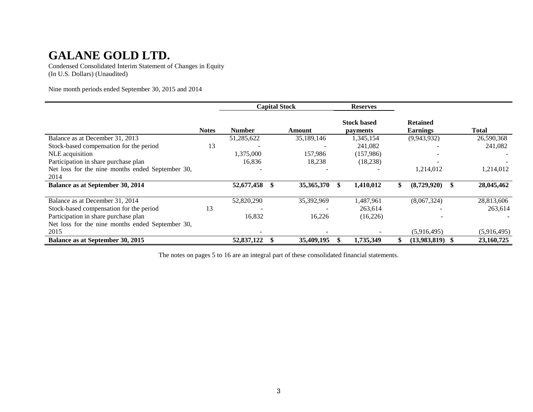Condensed Consolidated Interim Statement of Changes in Equity (In U.S. Dollars) (Unaudited)

Nine month periods ended September 30, 2015 and 2014

|                                                  |              |               |     | <b>Capital Stock</b> | <b>Reserves</b>                |                                    |             |
|--------------------------------------------------|--------------|---------------|-----|----------------------|--------------------------------|------------------------------------|-------------|
|                                                  | <b>Notes</b> | <b>Number</b> |     | Amount               | <b>Stock based</b><br>payments | <b>Retained</b><br><b>Earnings</b> | Total       |
| Balance as at December 31, 2013                  |              | 51,285,622    |     | 35,189,146           | 1,345,154                      | (9,943,932)                        | 26,590,368  |
| Stock-based compensation for the period          | 13           |               |     |                      | 241,082                        |                                    | 241,082     |
| NLE acquisition                                  |              | 1,375,000     |     | 157,986              | (157,986)                      |                                    |             |
| Participation in share purchase plan             |              | 16,836        |     | 18,238               | (18, 238)                      |                                    |             |
| Net loss for the nine months ended September 30, |              |               |     |                      |                                | 1,214,012                          | 1,214,012   |
| 2014                                             |              |               |     |                      |                                |                                    |             |
| Balance as at September 30, 2014                 |              | 52,677,458    | \$. | 35,365,370           | 1,410,012                      | \$<br>(8,729,920)                  | 28,045,462  |
| Balance as at December 31, 2014                  |              | 52,820,290    |     | 35,392,969           | 1,487,961                      | (8,067,324)                        | 28,813,606  |
| Stock-based compensation for the period          | 13           |               |     |                      | 263,614                        |                                    | 263,614     |
| Participation in share purchase plan             |              | 16,832        |     | 16,226               | (16,226)                       |                                    |             |
| Net loss for the nine months ended September 30, |              |               |     |                      |                                |                                    |             |
| 2015                                             |              |               |     |                      |                                | (5,916,495)                        | (5,916,495) |
| Balance as at September 30, 2015                 |              | 52,837,122    |     | 35,409,195           | 1,735,349                      | (13,983,819)                       | 23,160,725  |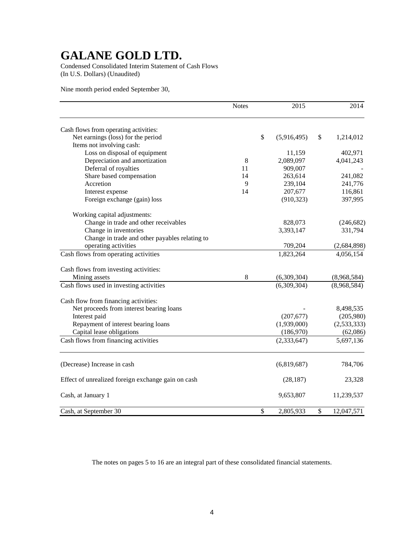Condensed Consolidated Interim Statement of Cash Flows (In U.S. Dollars) (Unaudited)

Nine month period ended September 30,

|                                                    | <b>Notes</b> |               | 2015          | 2014             |
|----------------------------------------------------|--------------|---------------|---------------|------------------|
| Cash flows from operating activities:              |              |               |               |                  |
| Net earnings (loss) for the period                 |              | $\mathcal{S}$ | (5,916,495)   | \$<br>1,214,012  |
| Items not involving cash:                          |              |               |               |                  |
| Loss on disposal of equipment                      |              |               | 11,159        | 402,971          |
| Depreciation and amortization                      | 8            |               | 2,089,097     | 4,041,243        |
| Deferral of royalties                              | 11           |               | 909,007       |                  |
| Share based compensation                           | 14           |               | 263,614       | 241,082          |
| Accretion                                          | 9            |               | 239,104       | 241,776          |
| Interest expense                                   | 14           |               | 207,677       | 116,861          |
| Foreign exchange (gain) loss                       |              |               | (910, 323)    | 397,995          |
| Working capital adjustments:                       |              |               |               |                  |
| Change in trade and other receivables              |              |               | 828,073       | (246, 682)       |
| Change in inventories                              |              |               | 3,393,147     | 331,794          |
| Change in trade and other payables relating to     |              |               |               |                  |
| operating activities                               |              |               | 709,204       | (2,684,898)      |
| Cash flows from operating activities               |              |               | 1,823,264     | 4,056,154        |
| Cash flows from investing activities:              |              |               |               |                  |
| Mining assets                                      | 8            |               | (6,309,304)   | (8,968,584)      |
| Cash flows used in investing activities            |              |               | (6,309,304)   | (8,968,584)      |
| Cash flow from financing activities:               |              |               |               |                  |
| Net proceeds from interest bearing loans           |              |               |               | 8,498,535        |
| Interest paid                                      |              |               | (207, 677)    | (205,980)        |
| Repayment of interest bearing loans                |              |               | (1,939,000)   | (2, 533, 333)    |
| Capital lease obligations                          |              |               | (186,970)     | (62,086)         |
| Cash flows from financing activities               |              |               | (2, 333, 647) | 5,697,136        |
| (Decrease) Increase in cash                        |              |               | (6,819,687)   | 784,706          |
| Effect of unrealized foreign exchange gain on cash |              |               | (28, 187)     | 23,328           |
| Cash, at January 1                                 |              |               | 9,653,807     | 11,239,537       |
| Cash, at September 30                              |              | \$            | 2,805,933     | \$<br>12,047,571 |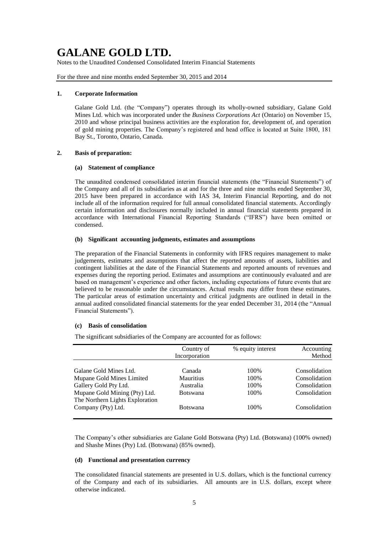Notes to the Unaudited Condensed Consolidated Interim Financial Statements

For the three and nine months ended September 30, 2015 and 2014

#### **1. Corporate Information**

Galane Gold Ltd. (the "Company") operates through its wholly-owned subsidiary, Galane Gold Mines Ltd. which was incorporated under the *Business Corporations Act* (Ontario) on November 15, 2010 and whose principal business activities are the exploration for, development of, and operation of gold mining properties. The Company's registered and head office is located at Suite 1800, 181 Bay St., Toronto, Ontario, Canada.

#### **2. Basis of preparation:**

#### **(a) Statement of compliance**

The unaudited condensed consolidated interim financial statements (the "Financial Statements") of the Company and all of its subsidiaries as at and for the three and nine months ended September 30, 2015 have been prepared in accordance with IAS 34, Interim Financial Reporting, and do not include all of the information required for full annual consolidated financial statements. Accordingly certain information and disclosures normally included in annual financial statements prepared in accordance with International Financial Reporting Standards ("IFRS") have been omitted or condensed.

### **(b) Significant accounting judgments, estimates and assumptions**

The preparation of the Financial Statements in conformity with IFRS requires management to make judgements, estimates and assumptions that affect the reported amounts of assets, liabilities and contingent liabilities at the date of the Financial Statements and reported amounts of revenues and expenses during the reporting period. Estimates and assumptions are continuously evaluated and are based on management's experience and other factors, including expectations of future events that are believed to be reasonable under the circumstances. Actual results may differ from these estimates. The particular areas of estimation uncertainty and critical judgments are outlined in detail in the annual audited consolidated financial statements for the year ended December 31, 2014 (the "Annual Financial Statements").

#### **(c) Basis of consolidation**

The significant subsidiaries of the Company are accounted for as follows:

|                                                                  | Country of<br>Incorporation | % equity interest | Accounting<br>Method |
|------------------------------------------------------------------|-----------------------------|-------------------|----------------------|
| Galane Gold Mines Ltd.                                           | Canada                      | 100\%             | Consolidation        |
| Mupane Gold Mines Limited                                        | <b>Mauritius</b>            | 100\%             | Consolidation        |
| Gallery Gold Pty Ltd.                                            | Australia                   | 100\%             | Consolidation        |
| Mupane Gold Mining (Pty) Ltd.<br>The Northern Lights Exploration | <b>Botswana</b>             | 100\%             | Consolidation        |
| Company (Pty) Ltd.                                               | <b>Botswana</b>             | 100\%             | Consolidation        |

The Company's other subsidiaries are Galane Gold Botswana (Pty) Ltd. (Botswana) (100% owned) and Shashe Mines (Pty) Ltd. (Botswana) (85% owned).

### **(d) Functional and presentation currency**

The consolidated financial statements are presented in U.S. dollars, which is the functional currency of the Company and each of its subsidiaries. All amounts are in U.S. dollars, except where otherwise indicated.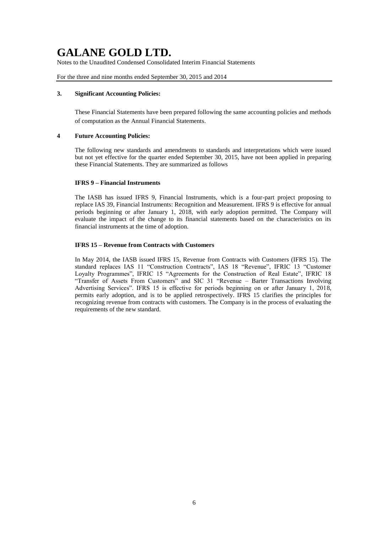Notes to the Unaudited Condensed Consolidated Interim Financial Statements

For the three and nine months ended September 30, 2015 and 2014

#### **3. Significant Accounting Policies:**

These Financial Statements have been prepared following the same accounting policies and methods of computation as the Annual Financial Statements.

### **4 Future Accounting Policies:**

The following new standards and amendments to standards and interpretations which were issued but not yet effective for the quarter ended September 30, 2015, have not been applied in preparing these Financial Statements. They are summarized as follows

#### **IFRS 9 – Financial Instruments**

The IASB has issued IFRS 9, Financial Instruments, which is a four-part project proposing to replace IAS 39, Financial Instruments: Recognition and Measurement. IFRS 9 is effective for annual periods beginning or after January 1, 2018, with early adoption permitted. The Company will evaluate the impact of the change to its financial statements based on the characteristics on its financial instruments at the time of adoption.

#### **IFRS 15 – Revenue from Contracts with Customers**

In May 2014, the IASB issued IFRS 15, Revenue from Contracts with Customers (IFRS 15). The standard replaces IAS 11 "Construction Contracts", IAS 18 "Revenue", IFRIC 13 "Customer Loyalty Programmes", IFRIC 15 "Agreements for the Construction of Real Estate", IFRIC 18 "Transfer of Assets From Customers" and SIC 31 "Revenue – Barter Transactions Involving Advertising Services". IFRS 15 is effective for periods beginning on or after January 1, 2018, permits early adoption, and is to be applied retrospectively. IFRS 15 clarifies the principles for recognizing revenue from contracts with customers. The Company is in the process of evaluating the requirements of the new standard.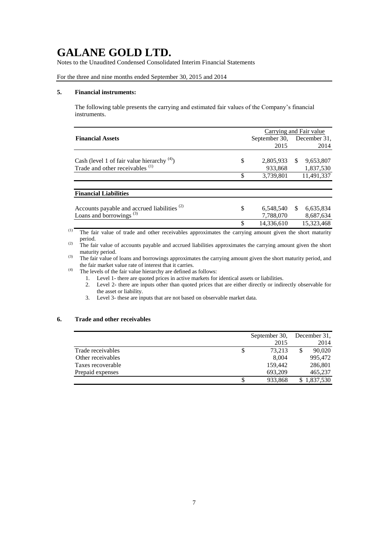Notes to the Unaudited Condensed Consolidated Interim Financial Statements

### For the three and nine months ended September 30, 2015 and 2014

#### **5. Financial instruments:**

The following table presents the carrying and estimated fair values of the Company's financial instruments.

|                                                         |                  | Carrying and Fair value    |
|---------------------------------------------------------|------------------|----------------------------|
| <b>Financial Assets</b>                                 | September 30,    | December 31,               |
|                                                         | 2015             | 2014                       |
|                                                         |                  |                            |
| Cash (level 1 of fair value hierarchy $(4)$ )           | \$<br>2,805,933  | \$.<br>9,653,807           |
| Trade and other receivables <sup>(1)</sup>              | 933.868          | 1,837,530                  |
|                                                         | \$<br>3,739,801  | 11.491.337                 |
|                                                         |                  |                            |
| <b>Financial Liabilities</b>                            |                  |                            |
|                                                         |                  |                            |
| Accounts payable and accrued liabilities <sup>(2)</sup> | \$<br>6,548,540  | <sup>\$</sup><br>6,635,834 |
| Loans and borrowings <sup>(3)</sup>                     | 7,788,070        | 8,687,634                  |
|                                                         | \$<br>14,336,610 | 15,323,468                 |
|                                                         |                  |                            |

(1) The fair value of trade and other receivables approximates the carrying amount given the short maturity period.

<sup>(2)</sup> The fair value of accounts payable and accrued liabilities approximates the carrying amount given the short maturity period.

(3) The fair value of loans and borrowings approximates the carrying amount given the short maturity period, and the fair market value rate of interest that it carries.

(4) The levels of the fair value hierarchy are defined as follows:

- 1. Level 1- there are quoted prices in active markets for identical assets or liabilities.
- 2. Level 2- there are inputs other than quoted prices that are either directly or indirectly observable for the asset or liability.
- 3. Level 3- these are inputs that are not based on observable market data.

### **6. Trade and other receivables**

|                   | September 30, |   | December 31, |
|-------------------|---------------|---|--------------|
|                   | 2015          |   | 2014         |
| Trade receivables | 73.213        | S | 90,020       |
| Other receivables | 8.004         |   | 995,472      |
| Taxes recoverable | 159,442       |   | 286,801      |
| Prepaid expenses  | 693,209       |   | 465,237      |
|                   | 933,868       |   | 1,837,530    |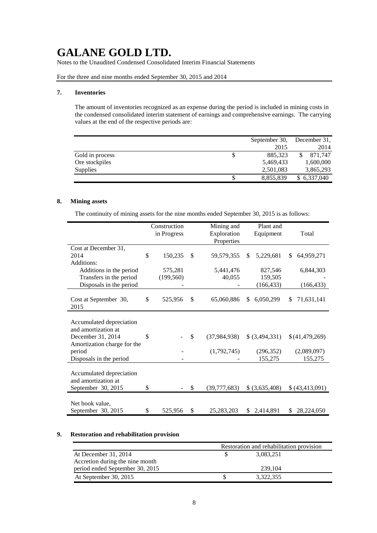Notes to the Unaudited Condensed Consolidated Interim Financial Statements

For the three and nine months ended September 30, 2015 and 2014

#### **7. Inventories**

The amount of inventories recognized as an expense during the period is included in mining costs in the condensed consolidated interim statement of earnings and comprehensive earnings. The carrying values at the end of the respective periods are:

|                 | September 30, | December 31, |
|-----------------|---------------|--------------|
|                 | 2015          | 2014         |
| Gold in process | \$<br>885.323 | 871.747      |
| Ore stockpiles  | 5,469,433     | 1,600,000    |
| Supplies        | 2,501,083     | 3,865,293    |
|                 | 8,855,839     | \$6,337,040  |

### **8. Mining assets**

The continuity of mining assets for the nine months ended September 30, 2015 is as follows:

|                                       | Construction<br>in Progress |    | Mining and<br>Exploration | Plant and<br>Equipment | Total            |
|---------------------------------------|-----------------------------|----|---------------------------|------------------------|------------------|
|                                       |                             |    | Properties                |                        |                  |
| Cost at December 31,                  |                             |    |                           |                        |                  |
| 2014                                  | \$<br>150,235               | \$ | 59,579,355                | \$<br>5,229,681        | 64,959,271<br>\$ |
| Additions:                            |                             |    |                           |                        |                  |
| Additions in the period               | 575,281                     |    | 5,441,476                 | 827,546                | 6,844,303        |
| Transfers in the period               | (199, 560)                  |    | 40,055                    | 159,505                |                  |
| Disposals in the period               |                             |    |                           | (166, 433)             | (166, 433)       |
| Cost at September 30,<br>2015         | \$<br>525,956               | \$ | 65,060,886                | \$<br>6,050,299        | \$<br>71,631,141 |
|                                       |                             |    |                           |                        |                  |
| Accumulated depreciation              |                             |    |                           |                        |                  |
| and amortization at                   |                             |    |                           |                        |                  |
| December 31, 2014                     | \$                          | \$ | (37, 984, 938)            | \$ (3,494,331)         | \$(41,479,269)   |
| Amortization charge for the<br>period |                             |    | (1,792,745)               | (296, 352)             | (2,089,097)      |
| Disposals in the period               |                             |    |                           | 155,275                | 155,275          |
|                                       |                             |    |                           |                        |                  |
| Accumulated depreciation              |                             |    |                           |                        |                  |
| and amortization at                   |                             |    |                           |                        |                  |
| September 30, 2015                    | \$                          | S  | (39,777,683)              | \$ (3,635,408)         | \$(43,413,091)   |
|                                       |                             |    |                           |                        |                  |
| Net book value,                       |                             |    |                           |                        |                  |
| September 30, 2015                    | \$<br>525,956               | \$ | 25,283,203                | \$2,414,891            | \$<br>28,224,050 |

### **9. Restoration and rehabilitation provision**

|                                 | Restoration and rehabilitation provision |           |  |  |  |
|---------------------------------|------------------------------------------|-----------|--|--|--|
| At December 31, 2014            |                                          | 3,083,251 |  |  |  |
| Accretion during the nine month |                                          |           |  |  |  |
| period ended September 30, 2015 |                                          | 239.104   |  |  |  |
| At September 30, 2015           |                                          | 3,322,355 |  |  |  |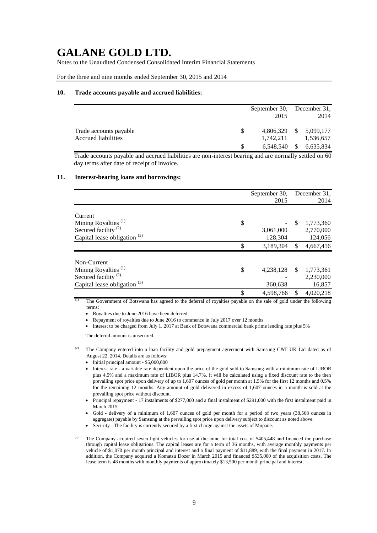Notes to the Unaudited Condensed Consolidated Interim Financial Statements

For the three and nine months ended September 30, 2015 and 2014

#### **10. Trade accounts payable and accrued liabilities:**

|                                               | September 30, December 31,<br>2015 |               | 2014                   |
|-----------------------------------------------|------------------------------------|---------------|------------------------|
| Trade accounts payable<br>Accrued liabilities | 4,806,329<br>1,742,211             | <b>S</b>      | 5,099,177<br>1,536,657 |
|                                               | 6,548,540                          | <sup>\$</sup> | 6,635,834              |

Trade accounts payable and accrued liabilities are non-interest bearing and are normally settled on 60 day terms after date of receipt of invoice.

### **11. Interest-bearing loans and borrowings:**

|                                         | September 30,   |               | December 31, |
|-----------------------------------------|-----------------|---------------|--------------|
|                                         | 2015            |               | 2014         |
| Current                                 |                 |               |              |
| Mining Royalties <sup>(1)</sup>         | \$              | <sup>\$</sup> | 1,773,360    |
| Secured facility <sup>(2)</sup>         | 3,061,000       |               | 2,770,000    |
| Capital lease obligation $(3)$          | 128,304         |               | 124,056      |
|                                         | \$<br>3,189,304 | \$            | 4,667,416    |
| Non-Current                             |                 |               |              |
| Mining Royalties <sup>(1)</sup>         | \$<br>4,238,128 | <sup>\$</sup> | 1,773,361    |
| Secured facility <sup>(2)</sup>         |                 |               | 2,230,000    |
| Capital lease obligation <sup>(3)</sup> | 360,638         |               | 16,857       |
|                                         | \$<br>4,598,766 | \$            | 4,020,218    |

The Government of Botswana has agreed to the deferral of royalties payable on the sale of gold under the following terms:

Royalties due to June 2016 have been deferred

Repayment of royalties due to June 2016 to commence in July 2017 over 12 months

Interest to be charged from July 1, 2017 at Bank of Botswana commercial bank prime lending rate plus 5%

The deferral amount is unsecured.

- The Company entered into a loan facility and gold prepayment agreement with Samsung C&T UK Ltd dated as of August 22, 2014. Details are as follows:
	- Initial principal amount \$5,000,000
	- Interest rate a variable rate dependent upon the price of the gold sold to Samsung with a minimum rate of LIBOR plus 4.5% and a maximum rate of LIBOR plus 14.7%. It will be calculated using a fixed discount rate to the then prevailing spot price upon delivery of up to 1,607 ounces of gold per month at 1.5% for the first 12 months and 0.5% for the remaining 12 months. Any amount of gold delivered in excess of 1,607 ounces in a month is sold at the prevailing spot price without discount.
	- Principal repayment 17 instalments of \$277,000 and a final instalment of \$291,000 with the first instalment paid in March 2015.
	- Gold delivery of a minimum of 1,607 ounces of gold per month for a period of two years (38,568 ounces in aggregate) payable by Samsung at the prevailing spot price upon delivery subject to discount as noted above.
	- Security The facility is currently secured by a first charge against the assets of Mupane.

The Company acquired seven light vehicles for use at the mine for total cost of \$405,448 and financed the purchase through capital lease obligations. The capital leases are for a term of 36 months, with average monthly payments per vehicle of \$1,070 per month principal and interest and a final payment of \$11,889, with the final payment in 2017. In addition, the Company acquired a Komatsu Dozer in March 2015 and financed \$535,000 of the acquisition costs. The lease term is 48 months with monthly payments of approximately \$13,500 per month principal and interest.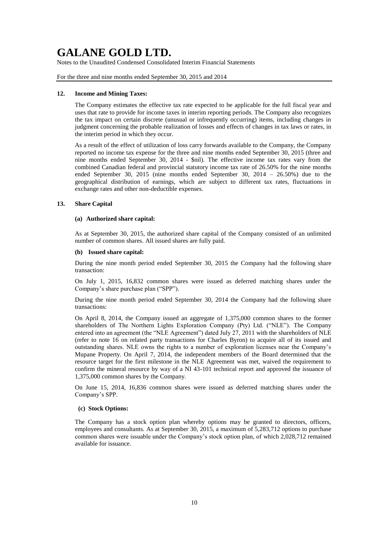Notes to the Unaudited Condensed Consolidated Interim Financial Statements

For the three and nine months ended September 30, 2015 and 2014

#### **12. Income and Mining Taxes:**

The Company estimates the effective tax rate expected to be applicable for the full fiscal year and uses that rate to provide for income taxes in interim reporting periods. The Company also recognizes the tax impact on certain discrete (unusual or infrequently occurring) items, including changes in judgment concerning the probable realization of losses and effects of changes in tax laws or rates, in the interim period in which they occur.

As a result of the effect of utilization of loss carry forwards available to the Company, the Company reported no income tax expense for the three and nine months ended September 30, 2015 (three and nine months ended September 30, 2014 - \$nil). The effective income tax rates vary from the combined Canadian federal and provincial statutory income tax rate of 26.50% for the nine months ended September 30, 2015 (nine months ended September 30, 2014 – 26.50%) due to the geographical distribution of earnings, which are subject to different tax rates, fluctuations in exchange rates and other non-deductible expenses.

#### **13. Share Capital**

#### **(a) Authorized share capital:**

As at September 30, 2015, the authorized share capital of the Company consisted of an unlimited number of common shares. All issued shares are fully paid.

### **(b) Issued share capital:**

During the nine month period ended September 30, 2015 the Company had the following share transaction:

On July 1, 2015, 16,832 common shares were issued as deferred matching shares under the Company's share purchase plan ("SPP").

During the nine month period ended September 30, 2014 the Company had the following share transactions:

On April 8, 2014, the Company issued an aggregate of 1,375,000 common shares to the former shareholders of The Northern Lights Exploration Company (Pty) Ltd. ("NLE"). The Company entered into an agreement (the "NLE Agreement") dated July 27, 2011 with the shareholders of NLE (refer to note 16 on related party transactions for Charles Byron) to acquire all of its issued and outstanding shares. NLE owns the rights to a number of exploration licenses near the Company's Mupane Property. On April 7, 2014, the independent members of the Board determined that the resource target for the first milestone in the NLE Agreement was met, waived the requirement to confirm the mineral resource by way of a NI 43-101 technical report and approved the issuance of 1,375,000 common shares by the Company.

On June 15, 2014, 16,836 common shares were issued as deferred matching shares under the Company's SPP.

#### **(c) Stock Options:**

The Company has a stock option plan whereby options may be granted to directors, officers, employees and consultants. As at September 30, 2015, a maximum of 5,283,712 options to purchase common shares were issuable under the Company's stock option plan, of which 2,028,712 remained available for issuance.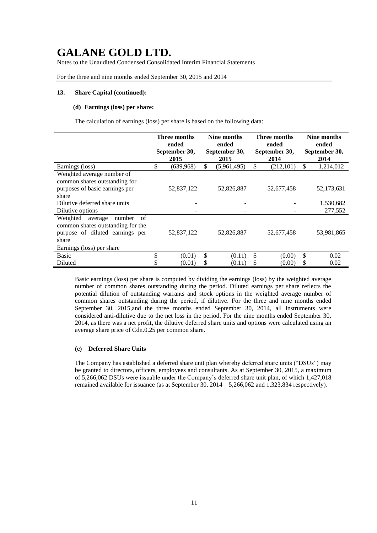Notes to the Unaudited Condensed Consolidated Interim Financial Statements

For the three and nine months ended September 30, 2015 and 2014

#### **13. Share Capital (continued):**

### **(d) Earnings (loss) per share:**

The calculation of earnings (loss) per share is based on the following data:

|                                                                                                                      | Three months<br>ended<br>September 30, |                   |          | Nine months<br>ended<br>September 30,<br>2015 |         | Three months<br>ended<br>September 30,<br>2014 | Nine months<br>ended<br>September 30, |                      |
|----------------------------------------------------------------------------------------------------------------------|----------------------------------------|-------------------|----------|-----------------------------------------------|---------|------------------------------------------------|---------------------------------------|----------------------|
| Earnings (loss)                                                                                                      | \$                                     | 2015<br>(639,968) | \$       | (5,961,495)                                   | \$      | (212, 101)                                     | \$                                    | 2014<br>1,214,012    |
| Weighted average number of<br>common shares outstanding for<br>purposes of basic earnings per<br>share               |                                        | 52,837,122        |          | 52,826,887                                    |         | 52,677,458                                     |                                       | 52,173,631           |
| Dilutive deferred share units<br>Dilutive options                                                                    |                                        |                   |          |                                               |         |                                                |                                       | 1,530,682<br>277,552 |
| Weighted<br>number<br>of<br>average<br>common shares outstanding for the<br>purpose of diluted earnings per<br>share |                                        | 52,837,122        |          | 52,826,887                                    |         | 52,677,458                                     |                                       | 53,981,865           |
| Earnings (loss) per share                                                                                            |                                        |                   |          |                                               |         |                                                |                                       |                      |
| <b>Basic</b><br>Diluted                                                                                              | \$                                     | (0.01)<br>(0.01)  | \$<br>\$ | (0.11)<br>(0.11)                              | \$<br>S | (0.00)<br>(0.00)                               | \$<br>\$                              | 0.02<br>0.02         |

Basic earnings (loss) per share is computed by dividing the earnings (loss) by the weighted average number of common shares outstanding during the period. Diluted earnings per share reflects the potential dilution of outstanding warrants and stock options in the weighted average number of common shares outstanding during the period, if dilutive. For the three and nine months ended September 30, 2015,and the three months ended September 30, 2014, all instruments were considered anti-dilutive due to the net loss in the period. For the nine months ended September 30, 2014, as there was a net profit, the dilutive deferred share units and options were calculated using an average share price of Cdn.0.25 per common share.

### **(e) Deferred Share Units**

The Company has established a deferred share unit plan whereby deferred share units ("DSUs") may be granted to directors, officers, employees and consultants. As at September 30, 2015, a maximum of 5,266,062 DSUs were issuable under the Company's deferred share unit plan, of which 1,427,018 remained available for issuance (as at September 30, 2014 – 5,266,062 and 1,323,834 respectively).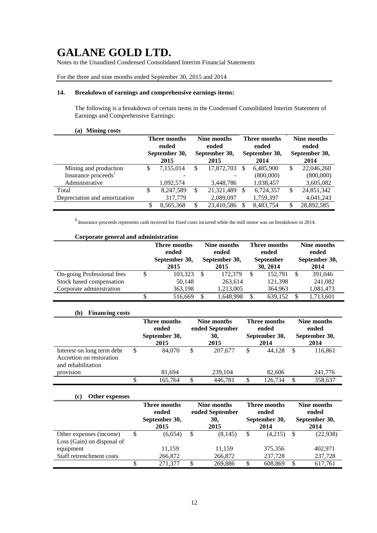Notes to the Unaudited Condensed Consolidated Interim Financial Statements

### For the three and nine months ended September 30, 2015 and 2014

### **14. Breakdown of earnings and comprehensive earnings items:**

The following is a breakdown of certain items in the Condensed Consolidated Interim Statement of Earnings and Comprehensive Earnings:

### **(a) Mining costs**

|                                 | Three months<br>ended<br>September 30,<br>2015 |           |    | Nine months<br>ended<br>September 30,<br>2015 |     | <b>Three months</b><br>ended<br>September 30,<br>2014 | Nine months<br>ended<br>September 30,<br>2014 |            |
|---------------------------------|------------------------------------------------|-----------|----|-----------------------------------------------|-----|-------------------------------------------------------|-----------------------------------------------|------------|
| Mining and production           | S                                              | 7,155,014 | S  | 17,872,703                                    | \$. | 6.485.900                                             | S                                             | 22,046,260 |
| Insurance proceeds <sup>1</sup> |                                                |           |    |                                               |     | (800,000)                                             |                                               | (800,000)  |
| Administrative                  |                                                | 1,092,574 |    | 3,448,786                                     |     | 1,038,457                                             |                                               | 3,605,082  |
| Total                           | S                                              | 8,247,589 | \$ | 21,321,489                                    | S   | 6,724,357                                             | S                                             | 24,851,342 |
| Depreciation and amortization   |                                                | 317,779   |    | 2,089,097                                     |     | 1,759,397                                             |                                               | 4,041,243  |
|                                 | S                                              | 8.565.368 | \$ | 23,410,586                                    | S.  | 8,483,754                                             | S                                             | 28,892,585 |

**<sup>1</sup>**Insurance proceeds represents cash received for fixed costs incurred while the mill motor was on breakdown in 2014.

#### **Corporate general and administration**

|                            | Three months<br>ended<br>September 30,<br>2015 | ended<br>2015<br><sup>\$</sup> |           | Nine months<br>Three months<br>ended<br>September 30,<br><b>September</b><br>30, 2014 |           | Nine months<br>ended<br>September 30,<br>2014 |
|----------------------------|------------------------------------------------|--------------------------------|-----------|---------------------------------------------------------------------------------------|-----------|-----------------------------------------------|
| On-going Professional fees | \$<br>103,323                                  |                                | 172,379   | 152.791                                                                               | 391,046   |                                               |
| Stock based compensation   | 50,148                                         |                                | 263,614   | 121,398                                                                               | 241,082   |                                               |
| Corporate administration   | 363,198                                        |                                | 1,213,005 | 364,963                                                                               | 1,081,473 |                                               |
|                            | 516,669                                        | \$                             | 1,648,998 | 639.152                                                                               | 1,713,601 |                                               |

## **(b) Financing costs**

|                                                                                           | <b>Three months</b><br>ended<br>September 30,<br>2015 | Nine months<br>ended September<br>30,<br>2015 |                    | Three months<br>ended<br>September 30,<br>2014 |                  |    | Nine months<br>ended<br>September 30,<br>2014 |
|-------------------------------------------------------------------------------------------|-------------------------------------------------------|-----------------------------------------------|--------------------|------------------------------------------------|------------------|----|-----------------------------------------------|
| Interest on long term debt<br>Accretion on restoration<br>and rehabilitation<br>provision | \$<br>84,070<br>81.694                                | S                                             | 207,677<br>239,104 | \$                                             | 44.128<br>82,606 | S  | 116,861<br>241,776                            |
|                                                                                           | 165.764                                               |                                               | 446.781            | \$                                             | 126.734          | \$ | 358,637                                       |

### **(c) Other expenses**

|                            |   | <b>Three months</b><br>ended<br>September 30,<br>2015 |   | Nine months<br>ended September<br>30,<br>2015 | Three months<br>ended<br>September 30,<br>2014 |         |    | Nine months<br>ended<br>September 30,<br>2014 |
|----------------------------|---|-------------------------------------------------------|---|-----------------------------------------------|------------------------------------------------|---------|----|-----------------------------------------------|
| Other expenses (income)    | S | (6,654)                                               | S | (8, 145)                                      | \$                                             | (4.215) | -S | (22, 938)                                     |
| Loss (Gain) on disposal of |   |                                                       |   |                                               |                                                |         |    |                                               |
| equipment                  |   | 11,159                                                |   | 11.159                                        |                                                | 375,356 |    | 402.971                                       |
| Staff retrenchment costs   |   | 266,872                                               |   | 266,872                                       |                                                | 237,728 |    | 237,728                                       |
|                            |   | 271,377                                               | S | 269,886                                       | \$                                             | 608.869 | S  | 617,761                                       |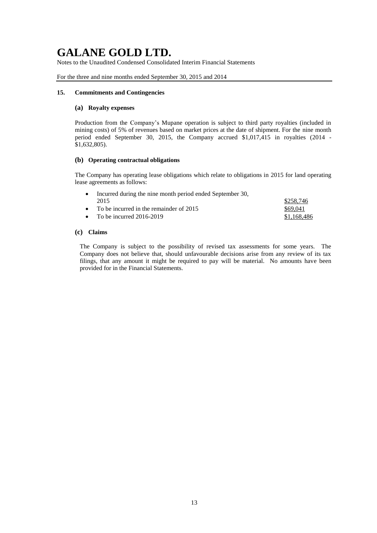Notes to the Unaudited Condensed Consolidated Interim Financial Statements

For the three and nine months ended September 30, 2015 and 2014

### **15. Commitments and Contingencies**

### **(a) Royalty expenses**

Production from the Company's Mupane operation is subject to third party royalties (included in mining costs) of 5% of revenues based on market prices at the date of shipment. For the nine month period ended September 30, 2015, the Company accrued \$1,017,415 in royalties (2014 - \$1,632,805).

### **(b) Operating contractual obligations**

The Company has operating lease obligations which relate to obligations in 2015 for land operating lease agreements as follows:

| • Incurred during the nine month period ended September 30, |             |
|-------------------------------------------------------------|-------------|
| 2015                                                        | \$258.746   |
| • To be incurred in the remainder of $2015$                 | \$69.041    |
| • To be incurred $2016-2019$                                | \$1,168,486 |

### **(c) Claims**

The Company is subject to the possibility of revised tax assessments for some years. The Company does not believe that, should unfavourable decisions arise from any review of its tax filings, that any amount it might be required to pay will be material. No amounts have been provided for in the Financial Statements.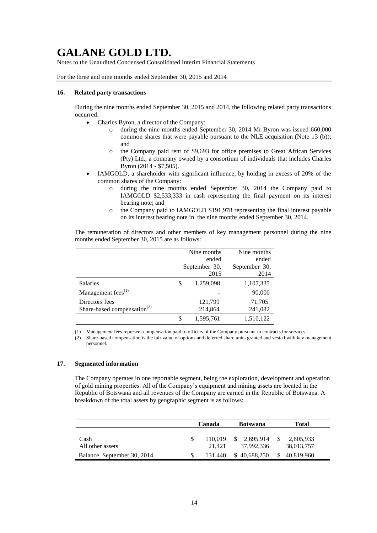Notes to the Unaudited Condensed Consolidated Interim Financial Statements

For the three and nine months ended September 30, 2015 and 2014

#### **16. Related party transactions**

During the nine months ended September 30, 2015 and 2014, the following related party transactions occurred:

- Charles Byron, a director of the Company:
	- o during the nine months ended September 30, 2014 Mr Byron was issued 660,000 common shares that were payable pursuant to the NLE acquisition (Note 13 (b)); and
	- o the Company paid rent of \$9,693 for office premises to Great African Services (Pty) Ltd., a company owned by a consortium of individuals that includes Charles Byron (2014 - \$7,505).
- IAMGOLD, a shareholder with significant influence, by holding in excess of 20% of the common shares of the Company:
	- o during the nine months ended September 30, 2014 the Company paid to IAMGOLD \$2,533,333 in cash representing the final payment on its interest bearing note; and
	- o the Company paid to IAMGOLD \$191,978 representing the final interest payable on its interest bearing note in the nine months ended September 30, 2014.

The remuneration of directors and other members of key management personnel during the nine months ended September 30, 2015 are as follows:

|                                                           | Nine months<br>ended<br>September 30,<br>2015 | Nine months<br>ended<br>September 30,<br>2014 |  |
|-----------------------------------------------------------|-----------------------------------------------|-----------------------------------------------|--|
| Salaries                                                  | 1,259,098                                     | 1,107,335                                     |  |
| Management fees $(1)$                                     |                                               | 90,000                                        |  |
| Directors fees<br>Share-based compensation <sup>(2)</sup> | 121,799<br>214,864                            | 71,705<br>241,082                             |  |
|                                                           | 1,595,761                                     | 1,510,122                                     |  |

(1) Management fees represent compensation paid to officers of the Company pursuant to contracts for services.

### **17. Segmented information**

The Company operates in one reportable segment, being the exploration, development and operation of gold mining properties. All of the Company's equipment and mining assets are located in the Republic of Botswana and all revenues of the Company are earned in the Republic of Botswana. A breakdown of the total assets by geographic segment is as follows:

|                             | Canada            | <b>Botswana</b>               | Total                   |
|-----------------------------|-------------------|-------------------------------|-------------------------|
| Cash<br>All other assets    | 110.019<br>21.421 | 2,695,914<br>S.<br>37.992.336 | 2,805,933<br>38,013,757 |
| Balance, September 30, 2014 | 131.440           | \$40,688,250                  | 40,819,960              |

<sup>(2)</sup> Share-based compensation is the fair value of options and deferred share units granted and vested with key management personnel.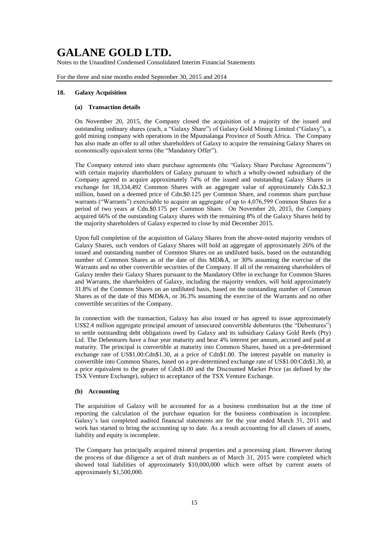Notes to the Unaudited Condensed Consolidated Interim Financial Statements

For the three and nine months ended September 30, 2015 and 2014

#### **18. Galaxy Acquisition**

#### **(a) Transaction details**

On November 20, 2015, the Company closed the acquisition of a majority of the issued and outstanding ordinary shares (each, a "Galaxy Share") of Galaxy Gold Mining Limited ("Galaxy"), a gold mining company with operations in the Mpumalanga Province of South Africa. The Company has also made an offer to all other shareholders of Galaxy to acquire the remaining Galaxy Shares on economically equivalent terms (the "Mandatory Offer").

The Company entered into share purchase agreements (the "Galaxy Share Purchase Agreements") with certain majority shareholders of Galaxy pursuant to which a wholly-owned subsidiary of the Company agreed to acquire approximately 74% of the issued and outstanding Galaxy Shares in exchange for 18,334,492 Common Shares with an aggregate value of approximately Cdn.\$2.3 million, based on a deemed price of Cdn.\$0.125 per Common Share, and common share purchase warrants ("Warrants") exercisable to acquire an aggregate of up to 4,076,599 Common Shares for a period of two years at Cdn.\$0.175 per Common Share. On November 20, 2015, the Company acquired 66% of the outstanding Galaxy shares with the remaining 8% of the Galaxy Shares held by the majority shareholders of Galaxy expected to close by mid December 2015.

Upon full completion of the acquisition of Galaxy Shares from the above-noted majority vendors of Galaxy Shares, such vendors of Galaxy Shares will hold an aggregate of approximately 26% of the issued and outstanding number of Common Shares on an undiluted basis, based on the outstanding number of Common Shares as of the date of this MD&A, or 30% assuming the exercise of the Warrants and no other convertible securities of the Company. If all of the remaining shareholders of Galaxy tender their Galaxy Shares pursuant to the Mandatory Offer in exchange for Common Shares and Warrants, the shareholders of Galaxy, including the majority vendors, will hold approximately 31.8% of the Common Shares on an undiluted basis, based on the outstanding number of Common Shares as of the date of this MD&A, or 36.3% assuming the exercise of the Warrants and no other convertible securities of the Company.

In connection with the transaction, Galaxy has also issued or has agreed to issue approximately US\$2.4 million aggregate principal amount of unsecured convertible debentures (the "Debentures") to settle outstanding debt obligations owed by Galaxy and its subsidiary Galaxy Gold Reefs (Pty) Ltd. The Debentures have a four year maturity and bear 4% interest per annum, accrued and paid at maturity. The principal is convertible at maturity into Common Shares, based on a pre-determined exchange rate of US\$1.00:Cdn\$1.30, at a price of Cdn\$1.00. The interest payable on maturity is convertible into Common Shares, based on a pre-determined exchange rate of US\$1.00:Cdn\$1.30, at a price equivalent to the greater of Cdn\$1.00 and the Discounted Market Price (as defined by the TSX Venture Exchange), subject to acceptance of the TSX Venture Exchange.

### **(b) Accounting**

The acquisition of Galaxy will be accounted for as a business combination but at the time of reporting the calculation of the purchase equation for the business combination is incomplete. Galaxy's last completed audited financial statements are for the year ended March 31, 2011 and work has started to bring the accounting up to date. As a result accounting for all classes of assets, liability and equity is incomplete.

The Company has principally acquired mineral properties and a processing plant. However during the process of due diligence a set of draft numbers as of March 31, 2015 were completed which showed total liabilities of approximately \$10,000,000 which were offset by current assets of approximately \$1,500,000.